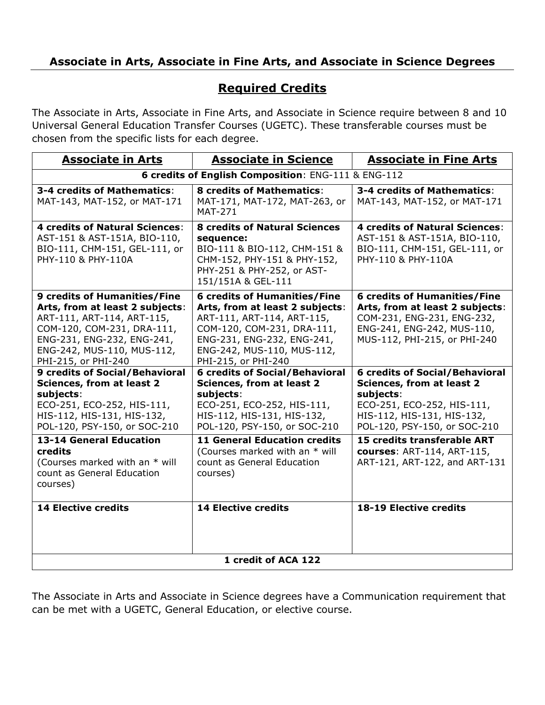## **Associate in Arts, Associate in Fine Arts, and Associate in Science Degrees**

## **Required Credits**

The Associate in Arts, Associate in Fine Arts, and Associate in Science require between 8 and 10 Universal General Education Transfer Courses (UGETC). These transferable courses must be chosen from the specific lists for each degree.

| <b>Associate in Arts</b>                                                                                                                                                                                              | <b>Associate in Science</b>                                                                                                                                                                                           | <b>Associate in Fine Arts</b>                                                                                                                                                      |  |  |  |  |  |
|-----------------------------------------------------------------------------------------------------------------------------------------------------------------------------------------------------------------------|-----------------------------------------------------------------------------------------------------------------------------------------------------------------------------------------------------------------------|------------------------------------------------------------------------------------------------------------------------------------------------------------------------------------|--|--|--|--|--|
| 6 credits of English Composition: ENG-111 & ENG-112                                                                                                                                                                   |                                                                                                                                                                                                                       |                                                                                                                                                                                    |  |  |  |  |  |
| 3-4 credits of Mathematics:<br>MAT-143, MAT-152, or MAT-171                                                                                                                                                           | <b>8 credits of Mathematics:</b><br>MAT-171, MAT-172, MAT-263, or<br><b>MAT-271</b>                                                                                                                                   | 3-4 credits of Mathematics:<br>MAT-143, MAT-152, or MAT-171                                                                                                                        |  |  |  |  |  |
| <b>4 credits of Natural Sciences:</b><br>AST-151 & AST-151A, BIO-110,<br>BIO-111, CHM-151, GEL-111, or<br>PHY-110 & PHY-110A                                                                                          | <b>8 credits of Natural Sciences</b><br>sequence:<br>BIO-111 & BIO-112, CHM-151 &<br>CHM-152, PHY-151 & PHY-152,<br>PHY-251 & PHY-252, or AST-<br>151/151A & GEL-111                                                  | <b>4 credits of Natural Sciences:</b><br>AST-151 & AST-151A, BIO-110,<br>BIO-111, CHM-151, GEL-111, or<br>PHY-110 & PHY-110A                                                       |  |  |  |  |  |
| <b>9 credits of Humanities/Fine</b><br>Arts, from at least 2 subjects:<br>ART-111, ART-114, ART-115,<br>COM-120, COM-231, DRA-111,<br>ENG-231, ENG-232, ENG-241,<br>ENG-242, MUS-110, MUS-112,<br>PHI-215, or PHI-240 | <b>6 credits of Humanities/Fine</b><br>Arts, from at least 2 subjects:<br>ART-111, ART-114, ART-115,<br>COM-120, COM-231, DRA-111,<br>ENG-231, ENG-232, ENG-241,<br>ENG-242, MUS-110, MUS-112,<br>PHI-215, or PHI-240 | <b>6 credits of Humanities/Fine</b><br>Arts, from at least 2 subjects:<br>COM-231, ENG-231, ENG-232,<br>ENG-241, ENG-242, MUS-110,<br>MUS-112, PHI-215, or PHI-240                 |  |  |  |  |  |
| <b>9 credits of Social/Behavioral</b><br><b>Sciences, from at least 2</b><br>subjects:<br>ECO-251, ECO-252, HIS-111,<br>HIS-112, HIS-131, HIS-132,<br>POL-120, PSY-150, or SOC-210                                    | <b>6 credits of Social/Behavioral</b><br><b>Sciences, from at least 2</b><br>subjects:<br>ECO-251, ECO-252, HIS-111,<br>HIS-112, HIS-131, HIS-132,<br>POL-120, PSY-150, or SOC-210                                    | <b>6 credits of Social/Behavioral</b><br><b>Sciences, from at least 2</b><br>subjects:<br>ECO-251, ECO-252, HIS-111,<br>HIS-112, HIS-131, HIS-132,<br>POL-120, PSY-150, or SOC-210 |  |  |  |  |  |
| <b>13-14 General Education</b><br>credits<br>(Courses marked with an * will<br>count as General Education<br>courses)                                                                                                 | <b>11 General Education credits</b><br>(Courses marked with an * will<br>count as General Education<br>courses)                                                                                                       | 15 credits transferable ART<br>courses: ART-114, ART-115,<br>ART-121, ART-122, and ART-131                                                                                         |  |  |  |  |  |
| <b>14 Elective credits</b>                                                                                                                                                                                            | <b>14 Elective credits</b><br>1 credit of ACA 122                                                                                                                                                                     | 18-19 Elective credits                                                                                                                                                             |  |  |  |  |  |
|                                                                                                                                                                                                                       |                                                                                                                                                                                                                       |                                                                                                                                                                                    |  |  |  |  |  |

The Associate in Arts and Associate in Science degrees have a Communication requirement that can be met with a UGETC, General Education, or elective course.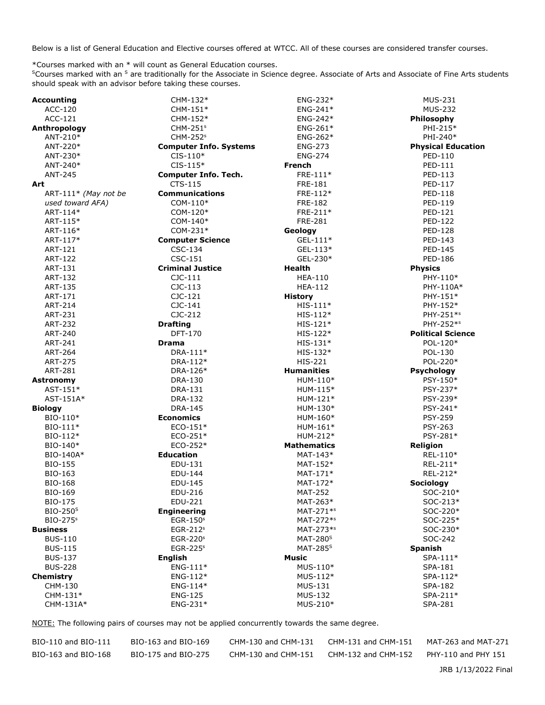Below is a list of General Education and Elective courses offered at WTCC. All of these courses are considered transfer courses.

\*Courses marked with an \* will count as General Education courses.

<sup>S</sup>Courses marked with an <sup>S</sup> are traditionally for the Associate in Science degree. Associate of Arts and Associate of Fine Arts students should speak with an advisor before taking these courses.

| <b>Accounting</b>    | CHM-132*                      | ENG-232*              | <b>MUS-231</b>            |
|----------------------|-------------------------------|-----------------------|---------------------------|
| ACC-120              | CHM-151*                      | ENG-241*              | <b>MUS-232</b>            |
| ACC-121              | CHM-152*                      | ENG-242*              | Philosophy                |
| Anthropology         | $CHM-251s$                    | $ENG-261*$            | PHI-215*                  |
| ANT-210*             | CHM-252 <sup>s</sup>          | $ENG-262*$            | PHI-240*                  |
| ANT-220*             | <b>Computer Info. Systems</b> | <b>ENG-273</b>        | <b>Physical Education</b> |
| ANT-230*             | $CIS-110*$                    | <b>ENG-274</b>        | PED-110                   |
| ANT-240*             | $CIS-115*$                    | <b>French</b>         | PED-111                   |
| ANT-245              | <b>Computer Info. Tech.</b>   | FRE-111*              | PED-113                   |
| Art                  | CTS-115                       | FRE-181               | PED-117                   |
| ART-111* (May not be | <b>Communications</b>         | FRE-112*              | PED-118                   |
| used toward AFA)     | $COM-110*$                    | <b>FRE-182</b>        | PED-119                   |
| ART-114*             | COM-120*                      | $FRE-211*$            | PED-121                   |
| ART-115*             | COM-140*                      | <b>FRE-281</b>        | <b>PED-122</b>            |
| ART-116*             | $COM-231*$                    | Geology               | PED-128                   |
| ART-117*             | <b>Computer Science</b>       | $GEL-111*$            | PED-143                   |
| ART-121              | CSC-134                       | $GEL-113*$            | PED-145                   |
| <b>ART-122</b>       | CSC-151                       | GEL-230*              | PED-186                   |
| ART-131              | <b>Criminal Justice</b>       | <b>Health</b>         | <b>Physics</b>            |
| <b>ART-132</b>       | $C$ JC- $111$                 | <b>HEA-110</b>        | PHY-110*                  |
| ART-135              | $CJC-113$                     | <b>HEA-112</b>        | PHY-110A*                 |
| ART-171              | $CJC-121$                     | <b>History</b>        | PHY-151*                  |
| <b>ART-214</b>       | $CJC-141$                     | $HIS-111*$            | PHY-152*                  |
| ART-231              | CJC-212                       | $HIS-112*$            | PHY-251*s                 |
| <b>ART-232</b>       | <b>Drafting</b>               | $HIS-121*$            | PHY-252*s                 |
| ART-240              | DFT-170                       | $HIS-122*$            | <b>Political Science</b>  |
| ART-241              | <b>Drama</b>                  | $HIS-131*$            | POL-120*                  |
| <b>ART-264</b>       | DRA-111*                      | $HIS-132*$            | POL-130                   |
| <b>ART-275</b>       | DRA-112*                      | <b>HIS-221</b>        | POL-220*                  |
| <b>ART-281</b>       | DRA-126*                      | <b>Humanities</b>     | <b>Psychology</b>         |
| <b>Astronomy</b>     | DRA-130                       | HUM-110*              | PSY-150*                  |
| $AST-151*$           | DRA-131                       | HUM-115*              | PSY-237*                  |
| AST-151A*            | <b>DRA-132</b>                | HUM-121*              | PSY-239*                  |
| <b>Biology</b>       | <b>DRA-145</b>                | HUM-130*              | PSY-241*                  |
| BIO-110*             | <b>Economics</b>              | HUM-160*              | <b>PSY-259</b>            |
| BIO-111*             | $ECO-151*$                    | HUM-161*              | <b>PSY-263</b>            |
| $BIO-112*$           | $ECO-251*$                    | HUM-212*              | PSY-281*                  |
| BIO-140*             | ECO-252*                      | <b>Mathematics</b>    | <b>Religion</b>           |
| BIO-140A*            | <b>Education</b>              | MAT-143*              | REL-110*                  |
| <b>BIO-155</b>       | EDU-131                       | MAT-152*              | REL-211*                  |
| BIO-163              | EDU-144                       | $MAT-171*$            | REL-212*                  |
| <b>BIO-168</b>       | EDU-145                       | MAT-172*              | <b>Sociology</b>          |
| <b>BIO-169</b>       | EDU-216                       | <b>MAT-252</b>        | SOC-210*                  |
| <b>BIO-175</b>       | EDU-221                       | MAT-263*              | SOC-213*                  |
| $BIO-250S$           | <b>Engineering</b>            | MAT-271 <sup>*s</sup> | SOC-220*                  |
| $BIO-275s$           | $EGR-150s$                    | MAT-272 <sup>*s</sup> | SOC-225*                  |
| <b>Business</b>      | $EGR-212s$                    | MAT-273 <sup>*s</sup> | SOC-230*                  |
| <b>BUS-110</b>       | $EGR-220s$                    | MAT-280 $S$           | SOC-242                   |
| <b>BUS-115</b>       | $EGR-225s$                    | MAT-285 $S$           | <b>Spanish</b>            |
| <b>BUS-137</b>       |                               | Music                 |                           |
| <b>BUS-228</b>       | <b>English</b><br>$ENG-111*$  | $MUS-110*$            | $SPA-111*$<br>SPA-181     |
|                      | $ENG-112*$                    | $MUS-112*$            | SPA-112*                  |
| Chemistry<br>CHM-130 | $ENG-114*$                    | <b>MUS-131</b>        | <b>SPA-182</b>            |
| CHM-131*             |                               | <b>MUS-132</b>        | SPA-211*                  |
|                      | <b>ENG-125</b>                | MUS-210*              |                           |
| CHM-131A*            | $ENG-231*$                    |                       | SPA-281                   |

NOTE: The following pairs of courses may not be applied concurrently towards the same degree.

| BIO-110 and BIO-111 | BIO-163 and BIO-169 | CHM-130 and CHM-131 | CHM-131 and CHM-151 | MAT-263 and MAT-271 |
|---------------------|---------------------|---------------------|---------------------|---------------------|
| BIO-163 and BIO-168 | BIO-175 and BIO-275 | CHM-130 and CHM-151 | CHM-132 and CHM-152 | PHY-110 and PHY 151 |